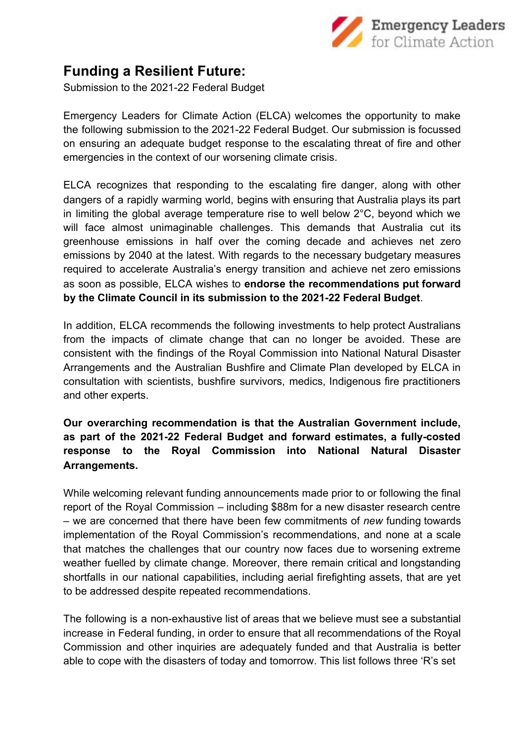

## **Funding a Resilient Future:**

Submission to the 2021-22 Federal Budget

Emergency Leaders for Climate Action (ELCA) welcomes the opportunity to make the following submission to the 2021-22 Federal Budget. Our submission is focussed on ensuring an adequate budget response to the escalating threat of fire and other emergencies in the context of our worsening climate crisis.

ELCA recognizes that responding to the escalating fire danger, along with other dangers of a rapidly warming world, begins with ensuring that Australia plays its part in limiting the global average temperature rise to well below 2°C, beyond which we will face almost unimaginable challenges. This demands that Australia cut its greenhouse emissions in half over the coming decade and achieves net zero emissions by 2040 at the latest. With regards to the necessary budgetary measures required to accelerate Australia's energy transition and achieve net zero emissions as soon as possible, ELCA wishes to **endorse the recommendations put forward by the Climate Council in its submission to the 2021-22 Federal Budget**.

In addition, ELCA recommends the following investments to help protect Australians from the impacts of climate change that can no longer be avoided. These are consistent with the findings of the Royal Commission into National Natural Disaster Arrangements and the Australian Bushfire and Climate Plan developed by ELCA in consultation with scientists, bushfire survivors, medics, Indigenous fire practitioners and other experts.

**Our overarching recommendation is that the Australian Government include, as part of the 2021-22 Federal Budget and forward estimates, a fully-costed response to the Royal Commission into National Natural Disaster Arrangements.**

While welcoming relevant funding announcements made prior to or following the final report of the Royal Commission – including \$88m for a new disaster research centre – we are concerned that there have been few commitments of *new* funding towards implementation of the Royal Commission's recommendations, and none at a scale that matches the challenges that our country now faces due to worsening extreme weather fuelled by climate change. Moreover, there remain critical and longstanding shortfalls in our national capabilities, including aerial firefighting assets, that are yet to be addressed despite repeated recommendations.

The following is a non-exhaustive list of areas that we believe must see a substantial increase in Federal funding, in order to ensure that all recommendations of the Royal Commission and other inquiries are adequately funded and that Australia is better able to cope with the disasters of today and tomorrow. This list follows three 'R's set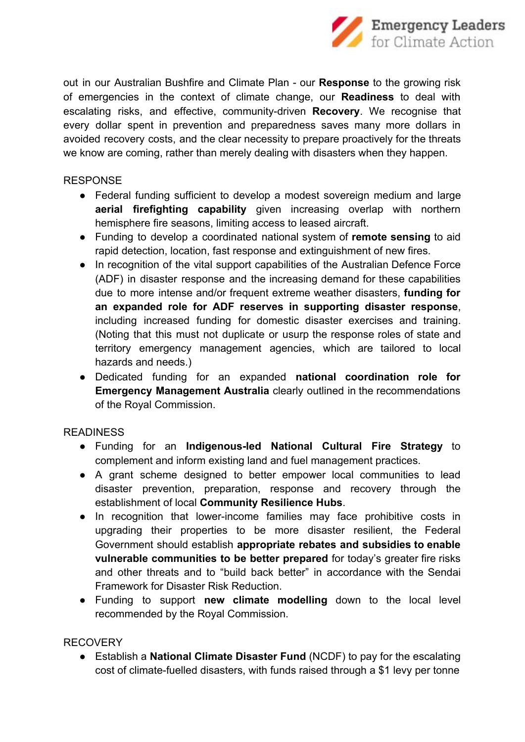

out in our Australian Bushfire and Climate Plan - our **Response** to the growing risk of emergencies in the context of climate change, our **Readiness** to deal with escalating risks, and effective, community-driven **Recovery**. We recognise that every dollar spent in prevention and preparedness saves many more dollars in avoided recovery costs, and the clear necessity to prepare proactively for the threats we know are coming, rather than merely dealing with disasters when they happen.

## RESPONSE

- Federal funding sufficient to develop a modest sovereign medium and large **aerial firefighting capability** given increasing overlap with northern hemisphere fire seasons, limiting access to leased aircraft.
- Funding to develop a coordinated national system of **remote sensing** to aid rapid detection, location, fast response and extinguishment of new fires.
- In recognition of the vital support capabilities of the Australian Defence Force (ADF) in disaster response and the increasing demand for these capabilities due to more intense and/or frequent extreme weather disasters, **funding for an expanded role for ADF reserves in supporting disaster response**, including increased funding for domestic disaster exercises and training. (Noting that this must not duplicate or usurp the response roles of state and territory emergency management agencies, which are tailored to local hazards and needs.)
- Dedicated funding for an expanded **national coordination role for Emergency Management Australia** clearly outlined in the recommendations of the Royal Commission.

## **READINESS**

- Funding for an **Indigenous-led National Cultural Fire Strategy** to complement and inform existing land and fuel management practices.
- A grant scheme designed to better empower local communities to lead disaster prevention, preparation, response and recovery through the establishment of local **Community Resilience Hubs**.
- In recognition that lower-income families may face prohibitive costs in upgrading their properties to be more disaster resilient, the Federal Government should establish **appropriate rebates and subsidies to enable vulnerable communities to be better prepared** for today's greater fire risks and other threats and to "build back better" in accordance with the Sendai Framework for Disaster Risk Reduction.
- Funding to support **new climate modelling** down to the local level recommended by the Royal Commission.

## RECOVERY

● Establish a **National Climate Disaster Fund** (NCDF) to pay for the escalating cost of climate-fuelled disasters, with funds raised through a \$1 levy per tonne